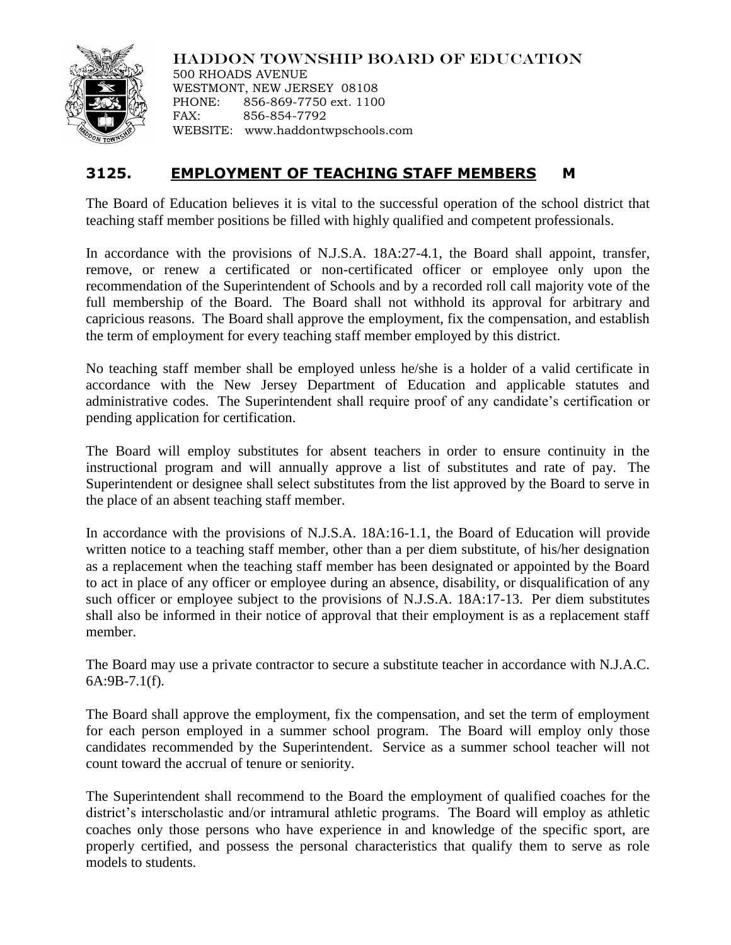

HADDON TOWNSHIP BOARD OF EDUCATION 500 RHOADS AVENUE

WESTMONT, NEW JERSEY 08108 PHONE: 856-869-7750 ext. 1100 FAX: 856-854-7792 WEBSITE: www.haddontwpschools.com

## **3125. EMPLOYMENT OF TEACHING STAFF MEMBERS M**

The Board of Education believes it is vital to the successful operation of the school district that teaching staff member positions be filled with highly qualified and competent professionals.

In accordance with the provisions of N.J.S.A. 18A:27-4.1, the Board shall appoint, transfer, remove, or renew a certificated or non-certificated officer or employee only upon the recommendation of the Superintendent of Schools and by a recorded roll call majority vote of the full membership of the Board. The Board shall not withhold its approval for arbitrary and capricious reasons. The Board shall approve the employment, fix the compensation, and establish the term of employment for every teaching staff member employed by this district.

No teaching staff member shall be employed unless he/she is a holder of a valid certificate in accordance with the New Jersey Department of Education and applicable statutes and administrative codes. The Superintendent shall require proof of any candidate's certification or pending application for certification.

The Board will employ substitutes for absent teachers in order to ensure continuity in the instructional program and will annually approve a list of substitutes and rate of pay. The Superintendent or designee shall select substitutes from the list approved by the Board to serve in the place of an absent teaching staff member.

In accordance with the provisions of N.J.S.A. 18A:16-1.1, the Board of Education will provide written notice to a teaching staff member, other than a per diem substitute, of his/her designation as a replacement when the teaching staff member has been designated or appointed by the Board to act in place of any officer or employee during an absence, disability, or disqualification of any such officer or employee subject to the provisions of N.J.S.A. 18A:17-13. Per diem substitutes shall also be informed in their notice of approval that their employment is as a replacement staff member.

The Board may use a private contractor to secure a substitute teacher in accordance with N.J.A.C. 6A:9B-7.1(f).

The Board shall approve the employment, fix the compensation, and set the term of employment for each person employed in a summer school program. The Board will employ only those candidates recommended by the Superintendent. Service as a summer school teacher will not count toward the accrual of tenure or seniority.

The Superintendent shall recommend to the Board the employment of qualified coaches for the district's interscholastic and/or intramural athletic programs. The Board will employ as athletic coaches only those persons who have experience in and knowledge of the specific sport, are properly certified, and possess the personal characteristics that qualify them to serve as role models to students.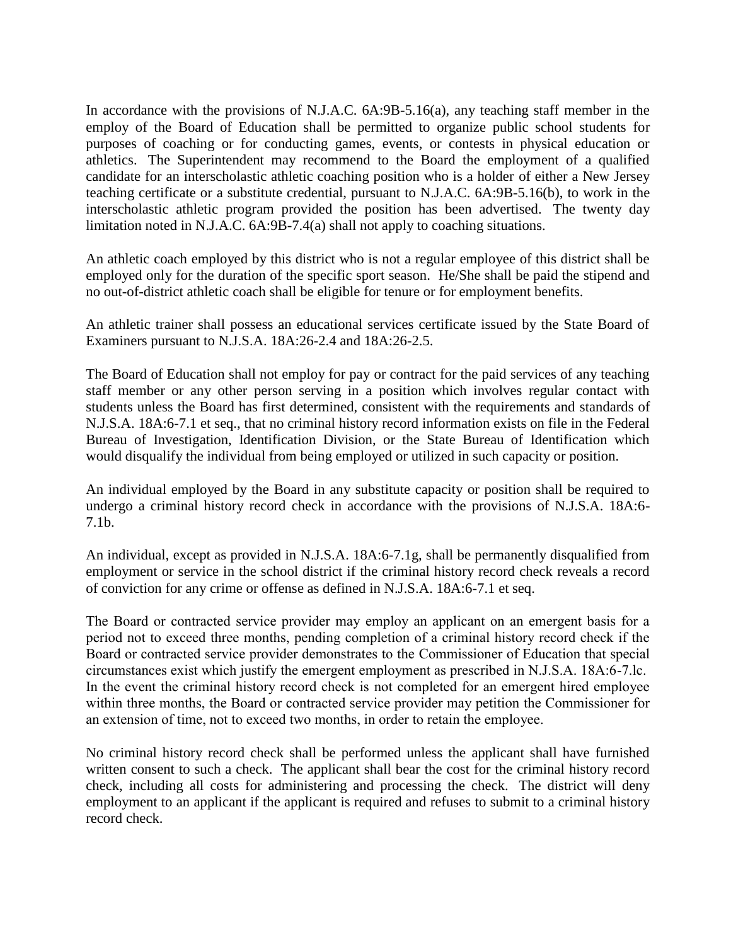In accordance with the provisions of N.J.A.C. 6A:9B-5.16(a), any teaching staff member in the employ of the Board of Education shall be permitted to organize public school students for purposes of coaching or for conducting games, events, or contests in physical education or athletics. The Superintendent may recommend to the Board the employment of a qualified candidate for an interscholastic athletic coaching position who is a holder of either a New Jersey teaching certificate or a substitute credential, pursuant to N.J.A.C. 6A:9B-5.16(b), to work in the interscholastic athletic program provided the position has been advertised. The twenty day limitation noted in N.J.A.C. 6A:9B-7.4(a) shall not apply to coaching situations.

An athletic coach employed by this district who is not a regular employee of this district shall be employed only for the duration of the specific sport season. He/She shall be paid the stipend and no out-of-district athletic coach shall be eligible for tenure or for employment benefits.

An athletic trainer shall possess an educational services certificate issued by the State Board of Examiners pursuant to N.J.S.A. 18A:26-2.4 and 18A:26-2.5.

The Board of Education shall not employ for pay or contract for the paid services of any teaching staff member or any other person serving in a position which involves regular contact with students unless the Board has first determined, consistent with the requirements and standards of N.J.S.A. 18A:6-7.1 et seq., that no criminal history record information exists on file in the Federal Bureau of Investigation, Identification Division, or the State Bureau of Identification which would disqualify the individual from being employed or utilized in such capacity or position.

An individual employed by the Board in any substitute capacity or position shall be required to undergo a criminal history record check in accordance with the provisions of N.J.S.A. 18A:6- 7.1b.

An individual, except as provided in N.J.S.A. 18A:6-7.1g, shall be permanently disqualified from employment or service in the school district if the criminal history record check reveals a record of conviction for any crime or offense as defined in N.J.S.A. 18A:6-7.1 et seq.

The Board or contracted service provider may employ an applicant on an emergent basis for a period not to exceed three months, pending completion of a criminal history record check if the Board or contracted service provider demonstrates to the Commissioner of Education that special circumstances exist which justify the emergent employment as prescribed in N.J.S.A. 18A:6-7.lc. In the event the criminal history record check is not completed for an emergent hired employee within three months, the Board or contracted service provider may petition the Commissioner for an extension of time, not to exceed two months, in order to retain the employee.

No criminal history record check shall be performed unless the applicant shall have furnished written consent to such a check. The applicant shall bear the cost for the criminal history record check, including all costs for administering and processing the check. The district will deny employment to an applicant if the applicant is required and refuses to submit to a criminal history record check.